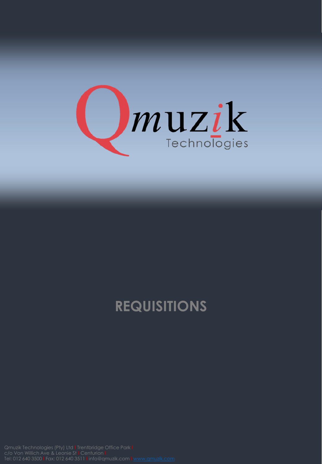

## **REQUISITIONS**